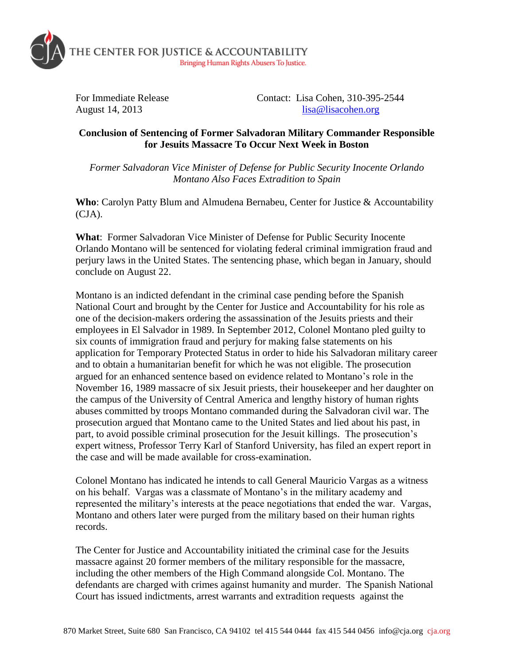

For Immediate Release Contact: Lisa Cohen, 310-395-2544 August 14, 2013 [lisa@lisacohen.org](mailto:lisa@lisacohen.org)

## **Conclusion of Sentencing of Former Salvadoran Military Commander Responsible for Jesuits Massacre To Occur Next Week in Boston**

*Former Salvadoran Vice Minister of Defense for Public Security Inocente Orlando Montano Also Faces Extradition to Spain*

**Who**: Carolyn Patty Blum and Almudena Bernabeu, Center for Justice & Accountability (CJA).

**What**: Former Salvadoran Vice Minister of Defense for Public Security Inocente Orlando Montano will be sentenced for violating federal criminal immigration fraud and perjury laws in the United States. The sentencing phase, which began in January, should conclude on August 22.

Montano is an indicted defendant in the criminal case pending before the Spanish National Court and brought by the Center for Justice and Accountability for his role as one of the decision-makers ordering the assassination of the Jesuits priests and their employees in El Salvador in 1989. In September 2012, Colonel Montano pled guilty to six counts of immigration fraud and perjury for making false statements on his application for Temporary Protected Status in order to hide his Salvadoran military career and to obtain a humanitarian benefit for which he was not eligible. The prosecution argued for an enhanced sentence based on evidence related to Montano's role in the November 16, 1989 massacre of six Jesuit priests, their housekeeper and her daughter on the campus of the University of Central America and lengthy history of human rights abuses committed by troops Montano commanded during the Salvadoran civil war. The prosecution argued that Montano came to the United States and lied about his past, in part, to avoid possible criminal prosecution for the Jesuit killings. The prosecution's expert witness, Professor Terry Karl of Stanford University, has filed an expert report in the case and will be made available for cross-examination.

Colonel Montano has indicated he intends to call General Mauricio Vargas as a witness on his behalf. Vargas was a classmate of Montano's in the military academy and represented the military's interests at the peace negotiations that ended the war. Vargas, Montano and others later were purged from the military based on their human rights records.

The Center for Justice and Accountability initiated the criminal case for the Jesuits massacre against 20 former members of the military responsible for the massacre, including the other members of the High Command alongside Col. Montano. The defendants are charged with crimes against humanity and murder. The Spanish National Court has issued indictments, arrest warrants and extradition requests against the